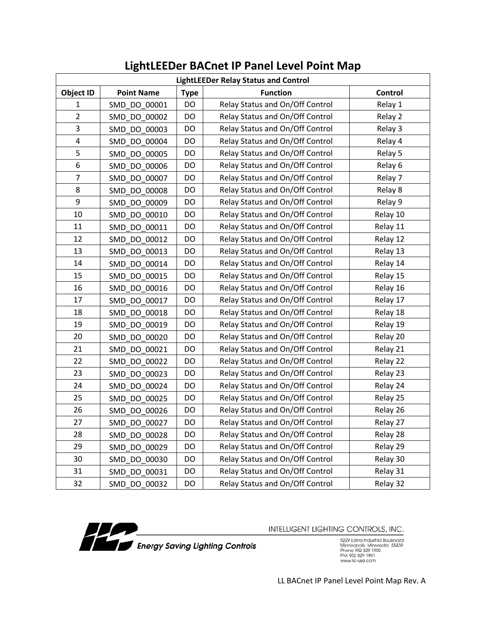| <b>LightLEEDer Relay Status and Control</b> |                   |             |                                 |                |
|---------------------------------------------|-------------------|-------------|---------------------------------|----------------|
| <b>Object ID</b>                            | <b>Point Name</b> | <b>Type</b> | <b>Function</b>                 | <b>Control</b> |
| 1                                           | SMD_DO_00001      | DO          | Relay Status and On/Off Control | Relay 1        |
| $\overline{2}$                              | SMD DO 00002      | DO          | Relay Status and On/Off Control | Relay 2        |
| 3                                           | SMD DO 00003      | DO          | Relay Status and On/Off Control | Relay 3        |
| 4                                           | SMD DO 00004      | DO          | Relay Status and On/Off Control | Relay 4        |
| 5                                           | SMD DO 00005      | DO          | Relay Status and On/Off Control | Relay 5        |
| 6                                           | SMD DO 00006      | DO          | Relay Status and On/Off Control | Relay 6        |
| $\overline{7}$                              | SMD DO 00007      | DO          | Relay Status and On/Off Control | Relay 7        |
| 8                                           | SMD DO 00008      | DO          | Relay Status and On/Off Control | Relay 8        |
| 9                                           | SMD DO 00009      | DO          | Relay Status and On/Off Control | Relay 9        |
| 10                                          | SMD DO 00010      | DO          | Relay Status and On/Off Control | Relay 10       |
| 11                                          | SMD DO 00011      | DO          | Relay Status and On/Off Control | Relay 11       |
| 12                                          | SMD DO 00012      | DO          | Relay Status and On/Off Control | Relay 12       |
| 13                                          | SMD_DO_00013      | <b>DO</b>   | Relay Status and On/Off Control | Relay 13       |
| 14                                          | SMD DO 00014      | DO          | Relay Status and On/Off Control | Relay 14       |
| 15                                          | SMD DO 00015      | DO          | Relay Status and On/Off Control | Relay 15       |
| 16                                          | SMD DO 00016      | DO          | Relay Status and On/Off Control | Relay 16       |
| 17                                          | SMD DO 00017      | DO          | Relay Status and On/Off Control | Relay 17       |
| 18                                          | SMD DO 00018      | DO          | Relay Status and On/Off Control | Relay 18       |
| 19                                          | SMD DO 00019      | DO          | Relay Status and On/Off Control | Relay 19       |
| 20                                          | SMD_DO_00020      | DO          | Relay Status and On/Off Control | Relay 20       |
| 21                                          | SMD DO 00021      | DO          | Relay Status and On/Off Control | Relay 21       |
| 22                                          | SMD DO 00022      | DO          | Relay Status and On/Off Control | Relay 22       |
| 23                                          | SMD DO 00023      | DO          | Relay Status and On/Off Control | Relay 23       |
| 24                                          | SMD DO 00024      | DO          | Relay Status and On/Off Control | Relay 24       |
| 25                                          | SMD_DO_00025      | DO          | Relay Status and On/Off Control | Relay 25       |
| 26                                          | SMD_DO_00026      | DO          | Relay Status and On/Off Control | Relay 26       |
| 27                                          | SMD_DO_00027      | DO          | Relay Status and On/Off Control | Relay 27       |
| 28                                          | SMD DO 00028      | DO          | Relay Status and On/Off Control | Relay 28       |
| 29                                          | SMD DO 00029      | DO          | Relay Status and On/Off Control | Relay 29       |
| 30                                          | SMD DO 00030      | DO          | Relay Status and On/Off Control | Relay 30       |
| 31                                          | SMD_DO_00031      | DO          | Relay Status and On/Off Control | Relay 31       |
| 32                                          | SMD_DO_00032      | DO          | Relay Status and On/Off Control | Relay 32       |

## **LightLEEDer BACnet IP Panel Level Point Map**



INTELLIGENT LIGHTING CONTROLS, INC.

Energy Saving Lighting Controls

5229 Edina Industrial Boulevard<br>Minneapolis. Minnesota 55439<br>Phone 952 829 1900<br>FAX 952 829 1901<br>www.ilc-usa.com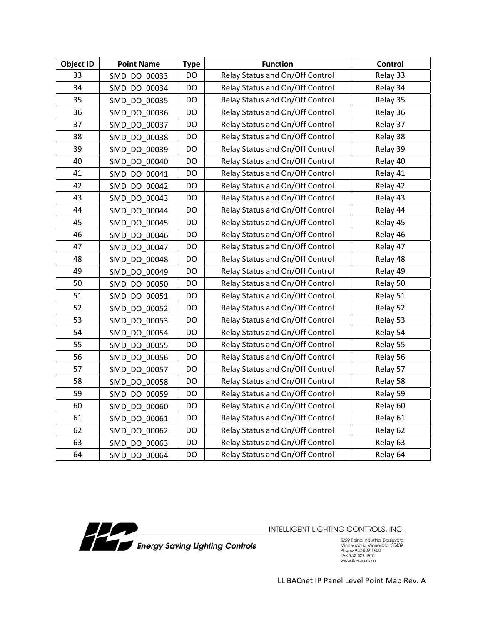| <b>Object ID</b> | <b>Point Name</b> | <b>Type</b> | <b>Function</b>                 | <b>Control</b> |
|------------------|-------------------|-------------|---------------------------------|----------------|
| 33               | SMD DO 00033      | DO          | Relay Status and On/Off Control | Relay 33       |
| 34               | SMD DO 00034      | DO          | Relay Status and On/Off Control | Relay 34       |
| 35               | SMD DO 00035      | DO          | Relay Status and On/Off Control | Relay 35       |
| 36               | SMD_DO_00036      | DO          | Relay Status and On/Off Control | Relay 36       |
| 37               | SMD DO_00037      | DO          | Relay Status and On/Off Control | Relay 37       |
| 38               | SMD DO 00038      | DO          | Relay Status and On/Off Control | Relay 38       |
| 39               | SMD DO 00039      | DO          | Relay Status and On/Off Control | Relay 39       |
| 40               | SMD DO 00040      | DO          | Relay Status and On/Off Control | Relay 40       |
| 41               | SMD DO 00041      | <b>DO</b>   | Relay Status and On/Off Control | Relay 41       |
| 42               | SMD_DO_00042      | DO          | Relay Status and On/Off Control | Relay 42       |
| 43               | SMD DO 00043      | DO          | Relay Status and On/Off Control | Relay 43       |
| 44               | SMD DO 00044      | DO          | Relay Status and On/Off Control | Relay 44       |
| 45               | SMD DO 00045      | DO.         | Relay Status and On/Off Control | Relay 45       |
| 46               | SMD DO 00046      | DO          | Relay Status and On/Off Control | Relay 46       |
| 47               | SMD DO 00047      | DO.         | Relay Status and On/Off Control | Relay 47       |
| 48               | SMD DO 00048      | DO          | Relay Status and On/Off Control | Relay 48       |
| 49               | SMD DO 00049      | DO          | Relay Status and On/Off Control | Relay 49       |
| 50               | SMD DO 00050      | DO          | Relay Status and On/Off Control | Relay 50       |
| 51               | SMD DO 00051      | DO          | Relay Status and On/Off Control | Relay 51       |
| 52               | SMD DO 00052      | <b>DO</b>   | Relay Status and On/Off Control | Relay 52       |
| 53               | SMD DO 00053      | DO          | Relay Status and On/Off Control | Relay 53       |
| 54               | SMD DO 00054      | DO          | Relay Status and On/Off Control | Relay 54       |
| 55               | SMD DO 00055      | DO          | Relay Status and On/Off Control | Relay 55       |
| 56               | SMD DO 00056      | DO          | Relay Status and On/Off Control | Relay 56       |
| 57               | SMD DO 00057      | DO          | Relay Status and On/Off Control | Relay 57       |
| 58               | SMD DO 00058      | DO          | Relay Status and On/Off Control | Relay 58       |
| 59               | SMD DO 00059      | DO          | Relay Status and On/Off Control | Relay 59       |
| 60               | SMD DO 00060      | DO          | Relay Status and On/Off Control | Relay 60       |
| 61               | SMD DO 00061      | DO          | Relay Status and On/Off Control | Relay 61       |
| 62               | SMD_DO_00062      | DO          | Relay Status and On/Off Control | Relay 62       |
| 63               | SMD DO 00063      | DO          | Relay Status and On/Off Control | Relay 63       |
| 64               | SMD DO 00064      | <b>DO</b>   | Relay Status and On/Off Control | Relay 64       |



5229 Edina Industrial Boulevard<br>Minneapolis. Minnesota 55439<br>Phone 952 829 1900<br>FAX 952 829 1901<br>www.ilc-usa.com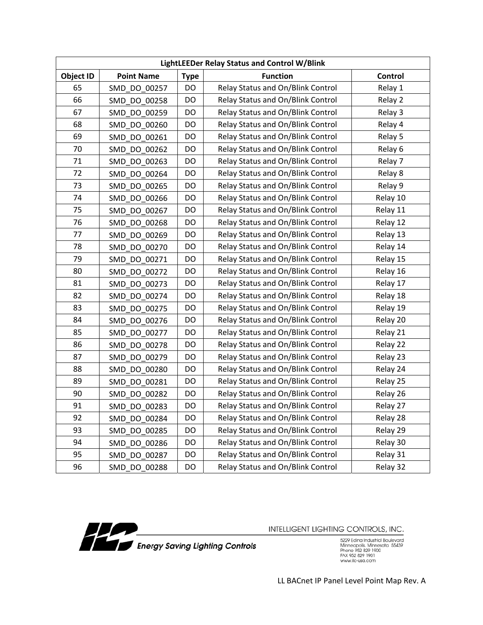| LightLEEDer Relay Status and Control W/Blink |                   |             |                                   |          |
|----------------------------------------------|-------------------|-------------|-----------------------------------|----------|
| <b>Object ID</b>                             | <b>Point Name</b> | <b>Type</b> | <b>Function</b>                   | Control  |
| 65                                           | SMD DO 00257      | DO          | Relay Status and On/Blink Control | Relay 1  |
| 66                                           | SMD DO 00258      | DO          | Relay Status and On/Blink Control | Relay 2  |
| 67                                           | SMD DO 00259      | DO          | Relay Status and On/Blink Control | Relay 3  |
| 68                                           | SMD DO 00260      | DO          | Relay Status and On/Blink Control | Relay 4  |
| 69                                           | SMD DO 00261      | DO          | Relay Status and On/Blink Control | Relay 5  |
| 70                                           | SMD DO 00262      | DO          | Relay Status and On/Blink Control | Relay 6  |
| 71                                           | SMD DO 00263      | DO          | Relay Status and On/Blink Control | Relay 7  |
| 72                                           | SMD DO 00264      | DO          | Relay Status and On/Blink Control | Relay 8  |
| 73                                           | SMD DO 00265      | DO          | Relay Status and On/Blink Control | Relay 9  |
| 74                                           | SMD_DO_00266      | DO          | Relay Status and On/Blink Control | Relay 10 |
| 75                                           | SMD DO 00267      | DO          | Relay Status and On/Blink Control | Relay 11 |
| 76                                           | SMD DO 00268      | DO          | Relay Status and On/Blink Control | Relay 12 |
| 77                                           | SMD DO 00269      | DO          | Relay Status and On/Blink Control | Relay 13 |
| 78                                           | SMD DO 00270      | DO          | Relay Status and On/Blink Control | Relay 14 |
| 79                                           | SMD DO 00271      | DO          | Relay Status and On/Blink Control | Relay 15 |
| 80                                           | SMD DO 00272      | DO          | Relay Status and On/Blink Control | Relay 16 |
| 81                                           | SMD_DO_00273      | DO          | Relay Status and On/Blink Control | Relay 17 |
| 82                                           | SMD DO 00274      | DO          | Relay Status and On/Blink Control | Relay 18 |
| 83                                           | SMD DO 00275      | DO          | Relay Status and On/Blink Control | Relay 19 |
| 84                                           | SMD DO 00276      | DO          | Relay Status and On/Blink Control | Relay 20 |
| 85                                           | SMD DO 00277      | DO          | Relay Status and On/Blink Control | Relay 21 |
| 86                                           | SMD DO 00278      | DO          | Relay Status and On/Blink Control | Relay 22 |
| 87                                           | SMD DO 00279      | DO          | Relay Status and On/Blink Control | Relay 23 |
| 88                                           | SMD DO 00280      | DO          | Relay Status and On/Blink Control | Relay 24 |
| 89                                           | SMD DO 00281      | DO          | Relay Status and On/Blink Control | Relay 25 |
| 90                                           | SMD DO 00282      | DO          | Relay Status and On/Blink Control | Relay 26 |
| 91                                           | SMD_DO_00283      | DO          | Relay Status and On/Blink Control | Relay 27 |
| 92                                           | SMD DO 00284      | DO          | Relay Status and On/Blink Control | Relay 28 |
| 93                                           | SMD_DO_00285      | DO          | Relay Status and On/Blink Control | Relay 29 |
| 94                                           | SMD_DO_00286      | DO          | Relay Status and On/Blink Control | Relay 30 |
| 95                                           | SMD DO 00287      | DO          | Relay Status and On/Blink Control | Relay 31 |
| 96                                           | SMD_DO_00288      | DO          | Relay Status and On/Blink Control | Relay 32 |



5229 Edina Industrial Boulevard<br>Minneapolis. Minnesota 55439<br>Phone 952 829 1900<br>FAX 952 829 1901<br>www.ilc-usa.com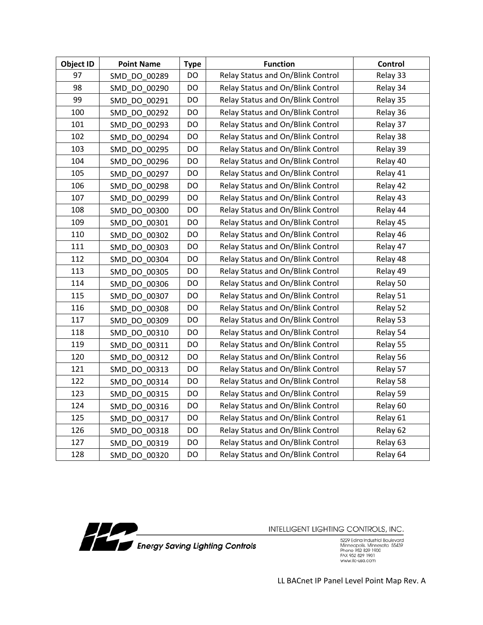| <b>Object ID</b> | <b>Point Name</b> | <b>Type</b> | <b>Function</b>                   | <b>Control</b> |
|------------------|-------------------|-------------|-----------------------------------|----------------|
| 97               | SMD DO 00289      | DO          | Relay Status and On/Blink Control | Relay 33       |
| 98               | SMD DO 00290      | DO          | Relay Status and On/Blink Control | Relay 34       |
| 99               | SMD_DO_00291      | DO          | Relay Status and On/Blink Control | Relay 35       |
| 100              | SMD_DO 00292      | DO.         | Relay Status and On/Blink Control | Relay 36       |
| 101              | SMD DO 00293      | DO          | Relay Status and On/Blink Control | Relay 37       |
| 102              | SMD DO 00294      | DO          | Relay Status and On/Blink Control | Relay 38       |
| 103              | SMD DO 00295      | DO          | Relay Status and On/Blink Control | Relay 39       |
| 104              | SMD DO 00296      | DO          | Relay Status and On/Blink Control | Relay 40       |
| 105              | SMD DO 00297      | DO          | Relay Status and On/Blink Control | Relay 41       |
| 106              | SMD_DO_00298      | DO          | Relay Status and On/Blink Control | Relay 42       |
| 107              | SMD DO 00299      | DO          | Relay Status and On/Blink Control | Relay 43       |
| 108              | SMD_DO_00300      | DO          | Relay Status and On/Blink Control | Relay 44       |
| 109              | SMD DO 00301      | DO.         | Relay Status and On/Blink Control | Relay 45       |
| 110              | SMD DO 00302      | <b>DO</b>   | Relay Status and On/Blink Control | Relay 46       |
| 111              | SMD DO 00303      | DO          | Relay Status and On/Blink Control | Relay 47       |
| 112              | SMD DO 00304      | DO          | Relay Status and On/Blink Control | Relay 48       |
| 113              | SMD DO 00305      | DO          | Relay Status and On/Blink Control | Relay 49       |
| 114              | SMD DO 00306      | DO          | Relay Status and On/Blink Control | Relay 50       |
| 115              | SMD DO 00307      | DO          | Relay Status and On/Blink Control | Relay 51       |
| 116              | SMD_DO_00308      | DO          | Relay Status and On/Blink Control | Relay 52       |
| 117              | SMD DO 00309      | DO          | Relay Status and On/Blink Control | Relay 53       |
| 118              | SMD DO 00310      | DO          | Relay Status and On/Blink Control | Relay 54       |
| 119              | SMD DO 00311      | DO          | Relay Status and On/Blink Control | Relay 55       |
| 120              | SMD_DO_00312      | DO          | Relay Status and On/Blink Control | Relay 56       |
| 121              | SMD_DO_00313      | DO          | Relay Status and On/Blink Control | Relay 57       |
| 122              | SMD DO 00314      | DO          | Relay Status and On/Blink Control | Relay 58       |
| 123              | SMD DO 00315      | DO          | Relay Status and On/Blink Control | Relay 59       |
| 124              | SMD DO 00316      | DO          | Relay Status and On/Blink Control | Relay 60       |
| 125              | SMD DO 00317      | DO          | Relay Status and On/Blink Control | Relay 61       |
| 126              | SMD_DO_00318      | DO          | Relay Status and On/Blink Control | Relay 62       |
| 127              | SMD_DO_00319      | DO          | Relay Status and On/Blink Control | Relay 63       |
| 128              | SMD DO 00320      | DO          | Relay Status and On/Blink Control | Relay 64       |



5229 Edina Industrial Boulevard<br>Minneapolis. Minnesota 55439<br>Phone 952 829 1900<br>FAX 952 829 1901<br>www.ilc-usa.com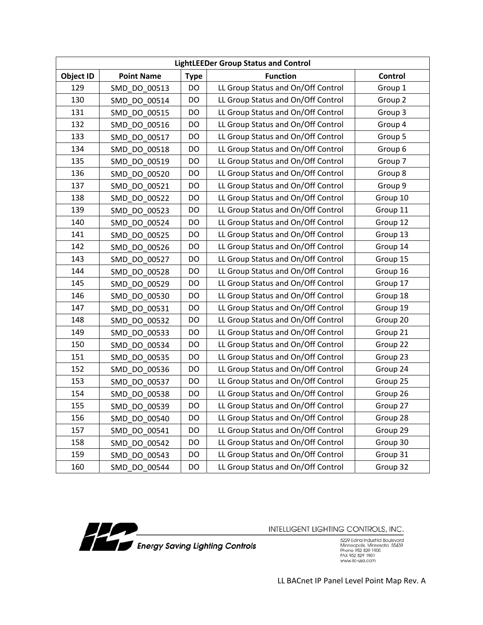| <b>LightLEEDer Group Status and Control</b> |                   |             |                                    |          |
|---------------------------------------------|-------------------|-------------|------------------------------------|----------|
| Object ID                                   | <b>Point Name</b> | <b>Type</b> | <b>Function</b>                    | Control  |
| 129                                         | SMD DO 00513      | DO          | LL Group Status and On/Off Control | Group 1  |
| 130                                         | SMD DO 00514      | DO          | LL Group Status and On/Off Control | Group 2  |
| 131                                         | SMD DO 00515      | DO          | LL Group Status and On/Off Control | Group 3  |
| 132                                         | SMD DO 00516      | DO          | LL Group Status and On/Off Control | Group 4  |
| 133                                         | SMD DO 00517      | DO          | LL Group Status and On/Off Control | Group 5  |
| 134                                         | SMD DO 00518      | DO          | LL Group Status and On/Off Control | Group 6  |
| 135                                         | SMD DO 00519      | DO          | LL Group Status and On/Off Control | Group 7  |
| 136                                         | SMD DO 00520      | DO          | LL Group Status and On/Off Control | Group 8  |
| 137                                         | SMD DO 00521      | DO          | LL Group Status and On/Off Control | Group 9  |
| 138                                         | SMD DO 00522      | DO          | LL Group Status and On/Off Control | Group 10 |
| 139                                         | SMD DO 00523      | DO          | LL Group Status and On/Off Control | Group 11 |
| 140                                         | SMD DO 00524      | DO          | LL Group Status and On/Off Control | Group 12 |
| 141                                         | SMD DO 00525      | DO          | LL Group Status and On/Off Control | Group 13 |
| 142                                         | SMD DO 00526      | DO          | LL Group Status and On/Off Control | Group 14 |
| 143                                         | SMD DO 00527      | DO          | LL Group Status and On/Off Control | Group 15 |
| 144                                         | SMD DO 00528      | DO          | LL Group Status and On/Off Control | Group 16 |
| 145                                         | SMD DO 00529      | DO          | LL Group Status and On/Off Control | Group 17 |
| 146                                         | SMD DO 00530      | DO          | LL Group Status and On/Off Control | Group 18 |
| 147                                         | SMD DO 00531      | DO          | LL Group Status and On/Off Control | Group 19 |
| 148                                         | SMD DO 00532      | DO          | LL Group Status and On/Off Control | Group 20 |
| 149                                         | SMD DO 00533      | DO          | LL Group Status and On/Off Control | Group 21 |
| 150                                         | SMD DO 00534      | DO          | LL Group Status and On/Off Control | Group 22 |
| 151                                         | SMD DO 00535      | DO          | LL Group Status and On/Off Control | Group 23 |
| 152                                         | SMD DO 00536      | DO          | LL Group Status and On/Off Control | Group 24 |
| 153                                         | SMD DO 00537      | DO          | LL Group Status and On/Off Control | Group 25 |
| 154                                         | SMD DO 00538      | DO          | LL Group Status and On/Off Control | Group 26 |
| 155                                         | SMD DO 00539      | DO          | LL Group Status and On/Off Control | Group 27 |
| 156                                         | SMD DO 00540      | DO          | LL Group Status and On/Off Control | Group 28 |
| 157                                         | SMD DO 00541      | DO          | LL Group Status and On/Off Control | Group 29 |
| 158                                         | SMD DO 00542      | DO          | LL Group Status and On/Off Control | Group 30 |
| 159                                         | SMD_DO_00543      | DO          | LL Group Status and On/Off Control | Group 31 |
| 160                                         | SMD_DO_00544      | DO          | LL Group Status and On/Off Control | Group 32 |



5229 Edina Industrial Boulevard<br>Minneapolis. Minnesota 55439<br>Phone 952 829 1900<br>FAX 952 829 1901<br>www.ilc-usa.com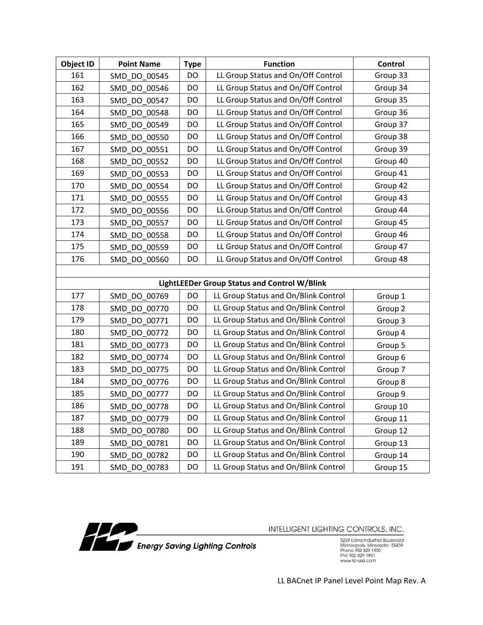| <b>Object ID</b> | <b>Point Name</b> | <b>Type</b> | <b>Function</b>                              | Control  |
|------------------|-------------------|-------------|----------------------------------------------|----------|
| 161              | SMD DO 00545      | DO          | LL Group Status and On/Off Control           | Group 33 |
| 162              | SMD DO 00546      | DO          | LL Group Status and On/Off Control           | Group 34 |
| 163              | SMD DO 00547      | DO          | LL Group Status and On/Off Control           | Group 35 |
| 164              | SMD DO 00548      | DO          | LL Group Status and On/Off Control           | Group 36 |
| 165              | SMD DO 00549      | DO          | LL Group Status and On/Off Control           | Group 37 |
| 166              | SMD DO 00550      | DO          | LL Group Status and On/Off Control           | Group 38 |
| 167              | SMD DO 00551      | DO          | LL Group Status and On/Off Control           | Group 39 |
| 168              | SMD DO 00552      | DO          | LL Group Status and On/Off Control           | Group 40 |
| 169              | SMD DO 00553      | DO          | LL Group Status and On/Off Control           | Group 41 |
| 170              | SMD DO 00554      | DO          | LL Group Status and On/Off Control           | Group 42 |
| 171              | SMD DO 00555      | DO          | LL Group Status and On/Off Control           | Group 43 |
| 172              | SMD DO 00556      | DO          | LL Group Status and On/Off Control           | Group 44 |
| 173              | SMD DO 00557      | DO          | LL Group Status and On/Off Control           | Group 45 |
| 174              | SMD DO 00558      | DO          | LL Group Status and On/Off Control           | Group 46 |
| 175              | SMD DO 00559      | DO          | LL Group Status and On/Off Control           | Group 47 |
| 176              | SMD DO 00560      | DO          | LL Group Status and On/Off Control           | Group 48 |
|                  |                   |             |                                              |          |
|                  |                   |             | LightLEEDer Group Status and Control W/Blink |          |
| 177              | SMD DO 00769      | DO          | LL Group Status and On/Blink Control         | Group 1  |
| 178              | SMD DO 00770      | DO          | LL Group Status and On/Blink Control         | Group 2  |
| 179              | SMD DO 00771      | DO          | LL Group Status and On/Blink Control         | Group 3  |
| 180              | SMD DO 00772      | DO          | LL Group Status and On/Blink Control         | Group 4  |
| 181              | SMD DO 00773      | DO          | LL Group Status and On/Blink Control         | Group 5  |
| 182              | SMD DO 00774      | DO          | LL Group Status and On/Blink Control         | Group 6  |
| 183              | SMD DO 00775      | DO          | LL Group Status and On/Blink Control         | Group 7  |
| 184              | SMD DO 00776      | DO          | LL Group Status and On/Blink Control         | Group 8  |
| 185              | SMD DO 00777      | DO          | LL Group Status and On/Blink Control         | Group 9  |
| 186              | SMD DO 00778      | DO          | LL Group Status and On/Blink Control         | Group 10 |
| 187              | SMD DO 00779      | DO          | LL Group Status and On/Blink Control         | Group 11 |
| 188              | SMD_DO_00780      | DO          | LL Group Status and On/Blink Control         | Group 12 |
| 189              | SMD_DO_00781      | DO          | LL Group Status and On/Blink Control         | Group 13 |
| 190              | SMD DO 00782      | DO          | LL Group Status and On/Blink Control         | Group 14 |
| 191              | SMD_DO_00783      | DO          | LL Group Status and On/Blink Control         | Group 15 |



5229 Edina Industrial Boulevard<br>Minneapolis. Minnesota 55439<br>Phone 952 829 1900<br>FAX 952 829 1901<br>www.ilc-usa.com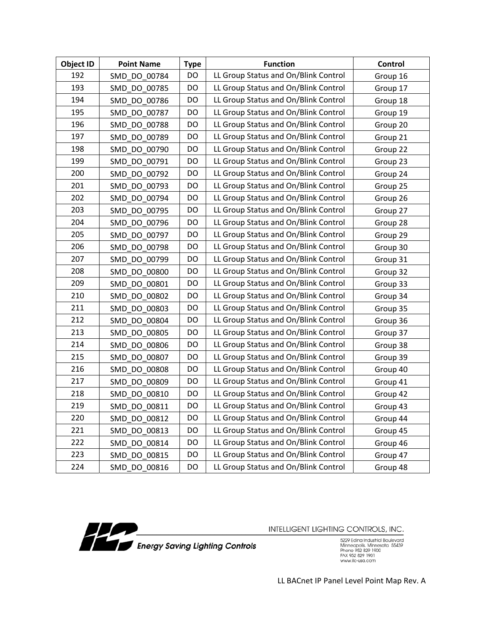| <b>Object ID</b> | <b>Point Name</b> | <b>Type</b> | <b>Function</b>                      | Control  |
|------------------|-------------------|-------------|--------------------------------------|----------|
| 192              | SMD DO 00784      | DO          | LL Group Status and On/Blink Control | Group 16 |
| 193              | SMD DO 00785      | DO          | LL Group Status and On/Blink Control | Group 17 |
| 194              | SMD DO 00786      | DO          | LL Group Status and On/Blink Control | Group 18 |
| 195              | SMD DO 00787      | DO          | LL Group Status and On/Blink Control | Group 19 |
| 196              | SMD DO 00788      | DO          | LL Group Status and On/Blink Control | Group 20 |
| 197              | SMD DO 00789      | DO          | LL Group Status and On/Blink Control | Group 21 |
| 198              | SMD DO 00790      | DO          | LL Group Status and On/Blink Control | Group 22 |
| 199              | SMD DO 00791      | DO          | LL Group Status and On/Blink Control | Group 23 |
| 200              | SMD DO 00792      | DO          | LL Group Status and On/Blink Control | Group 24 |
| 201              | SMD DO 00793      | DO          | LL Group Status and On/Blink Control | Group 25 |
| 202              | SMD DO 00794      | DO          | LL Group Status and On/Blink Control | Group 26 |
| 203              | SMD DO 00795      | DO          | LL Group Status and On/Blink Control | Group 27 |
| 204              | SMD DO 00796      | DO          | LL Group Status and On/Blink Control | Group 28 |
| 205              | SMD DO 00797      | DO          | LL Group Status and On/Blink Control | Group 29 |
| 206              | SMD DO 00798      | DO          | LL Group Status and On/Blink Control | Group 30 |
| 207              | SMD DO 00799      | DO          | LL Group Status and On/Blink Control | Group 31 |
| 208              | SMD DO 00800      | DO          | LL Group Status and On/Blink Control | Group 32 |
| 209              | SMD DO 00801      | DO          | LL Group Status and On/Blink Control | Group 33 |
| 210              | SMD DO 00802      | DO          | LL Group Status and On/Blink Control | Group 34 |
| 211              | SMD DO 00803      | DO          | LL Group Status and On/Blink Control | Group 35 |
| 212              | SMD DO 00804      | DO          | LL Group Status and On/Blink Control | Group 36 |
| 213              | SMD DO 00805      | DO          | LL Group Status and On/Blink Control | Group 37 |
| 214              | SMD DO 00806      | DO          | LL Group Status and On/Blink Control | Group 38 |
| 215              | SMD DO 00807      | DO          | LL Group Status and On/Blink Control | Group 39 |
| 216              | SMD DO 00808      | DO          | LL Group Status and On/Blink Control | Group 40 |
| 217              | SMD DO 00809      | DO          | LL Group Status and On/Blink Control | Group 41 |
| 218              | SMD DO 00810      | DO          | LL Group Status and On/Blink Control | Group 42 |
| 219              | SMD DO 00811      | DO          | LL Group Status and On/Blink Control | Group 43 |
| 220              | SMD DO 00812      | DO          | LL Group Status and On/Blink Control | Group 44 |
| 221              | SMD DO 00813      | DO          | LL Group Status and On/Blink Control | Group 45 |
| 222              | SMD DO 00814      | DO          | LL Group Status and On/Blink Control | Group 46 |
| 223              | SMD DO 00815      | DO          | LL Group Status and On/Blink Control | Group 47 |
| 224              | SMD_DO_00816      | DO          | LL Group Status and On/Blink Control | Group 48 |



5229 Edina Industrial Boulevard<br>Minneapolis. Minnesota 55439<br>Phone 952 829 1900<br>FAX 952 829 1901<br>www.ilc-usa.com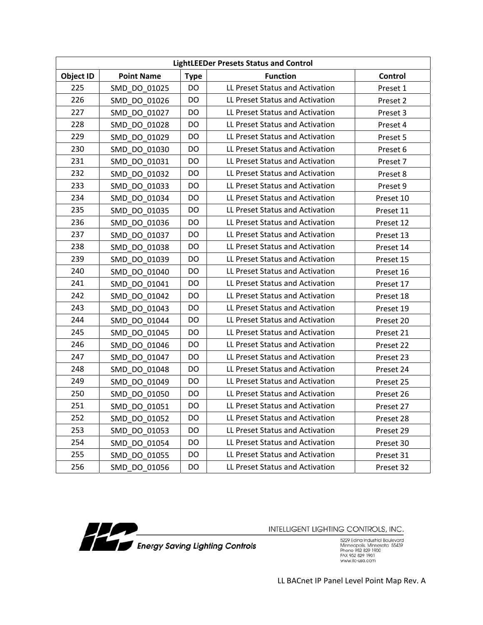| <b>LightLEEDer Presets Status and Control</b> |                   |             |                                 |           |
|-----------------------------------------------|-------------------|-------------|---------------------------------|-----------|
| Object ID                                     | <b>Point Name</b> | <b>Type</b> | <b>Function</b>                 | Control   |
| 225                                           | SMD DO 01025      | <b>DO</b>   | LL Preset Status and Activation | Preset 1  |
| 226                                           | SMD DO 01026      | DO          | LL Preset Status and Activation | Preset 2  |
| 227                                           | SMD DO 01027      | DO          | LL Preset Status and Activation | Preset 3  |
| 228                                           | SMD DO 01028      | DO          | LL Preset Status and Activation | Preset 4  |
| 229                                           | SMD DO 01029      | <b>DO</b>   | LL Preset Status and Activation | Preset 5  |
| 230                                           | SMD DO 01030      | <b>DO</b>   | LL Preset Status and Activation | Preset 6  |
| 231                                           | SMD DO 01031      | DO          | LL Preset Status and Activation | Preset 7  |
| 232                                           | SMD DO 01032      | <b>DO</b>   | LL Preset Status and Activation | Preset 8  |
| 233                                           | SMD DO 01033      | DO          | LL Preset Status and Activation | Preset 9  |
| 234                                           | SMD DO 01034      | DO          | LL Preset Status and Activation | Preset 10 |
| 235                                           | SMD DO 01035      | DO          | LL Preset Status and Activation | Preset 11 |
| 236                                           | SMD DO 01036      | <b>DO</b>   | LL Preset Status and Activation | Preset 12 |
| 237                                           | SMD DO 01037      | <b>DO</b>   | LL Preset Status and Activation | Preset 13 |
| 238                                           | SMD DO 01038      | DO          | LL Preset Status and Activation | Preset 14 |
| 239                                           | SMD DO 01039      | DO          | LL Preset Status and Activation | Preset 15 |
| 240                                           | SMD DO 01040      | DO          | LL Preset Status and Activation | Preset 16 |
| 241                                           | SMD DO 01041      | DO          | LL Preset Status and Activation | Preset 17 |
| 242                                           | SMD DO 01042      | <b>DO</b>   | LL Preset Status and Activation | Preset 18 |
| 243                                           | SMD DO 01043      | DO          | LL Preset Status and Activation | Preset 19 |
| 244                                           | SMD DO 01044      | <b>DO</b>   | LL Preset Status and Activation | Preset 20 |
| 245                                           | SMD DO 01045      | DO          | LL Preset Status and Activation | Preset 21 |
| 246                                           | SMD_DO_01046      | DO          | LL Preset Status and Activation | Preset 22 |
| 247                                           | SMD DO 01047      | DO          | LL Preset Status and Activation | Preset 23 |
| 248                                           | SMD DO 01048      | <b>DO</b>   | LL Preset Status and Activation | Preset 24 |
| 249                                           | SMD DO 01049      | <b>DO</b>   | LL Preset Status and Activation | Preset 25 |
| 250                                           | SMD DO 01050      | DO          | LL Preset Status and Activation | Preset 26 |
| 251                                           | SMD DO 01051      | DO          | LL Preset Status and Activation | Preset 27 |
| 252                                           | SMD DO 01052      | DO          | LL Preset Status and Activation | Preset 28 |
| 253                                           | SMD DO 01053      | DO          | LL Preset Status and Activation | Preset 29 |
| 254                                           | SMD DO 01054      | DO          | LL Preset Status and Activation | Preset 30 |
| 255                                           | SMD DO 01055      | DO          | LL Preset Status and Activation | Preset 31 |
| 256                                           | SMD DO 01056      | DO          | LL Preset Status and Activation | Preset 32 |



5229 Edina Industrial Boulevard<br>Minneapolis. Minnesota 55439<br>Phone 952 829 1900<br>FAX 952 829 1901<br>www.ilc-usa.com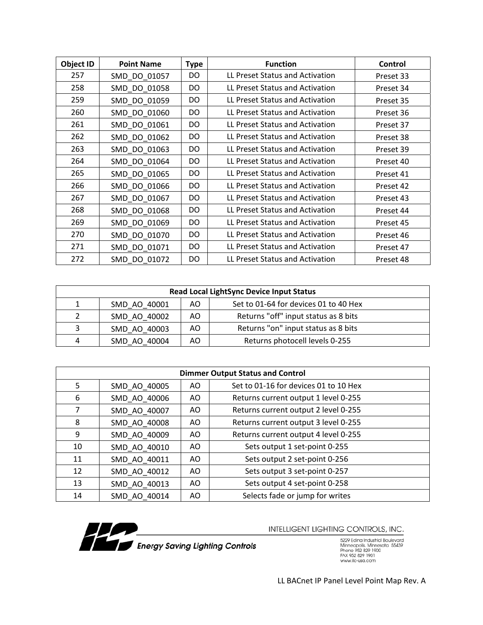| <b>Object ID</b> | <b>Point Name</b> | <b>Type</b> | <b>Function</b>                 | Control   |
|------------------|-------------------|-------------|---------------------------------|-----------|
| 257              | SMD DO 01057      | DO          | LL Preset Status and Activation | Preset 33 |
| 258              | SMD_DO_01058      | DO          | LL Preset Status and Activation | Preset 34 |
| 259              | SMD DO 01059      | DO          | LL Preset Status and Activation | Preset 35 |
| 260              | SMD_DO_01060      | DO.         | LL Preset Status and Activation | Preset 36 |
| 261              | SMD_DO_01061      | DO.         | LL Preset Status and Activation | Preset 37 |
| 262              | SMD DO 01062      | DO.         | LL Preset Status and Activation | Preset 38 |
| 263              | SMD DO 01063      | DO.         | LL Preset Status and Activation | Preset 39 |
| 264              | SMD DO 01064      | DO          | LL Preset Status and Activation | Preset 40 |
| 265              | SMD_DO_01065      | DO          | LL Preset Status and Activation | Preset 41 |
| 266              | SMD DO 01066      | DO.         | LL Preset Status and Activation | Preset 42 |
| 267              | SMD DO 01067      | DO.         | LL Preset Status and Activation | Preset 43 |
| 268              | SMD_DO_01068      | DO          | LL Preset Status and Activation | Preset 44 |
| 269              | SMD DO 01069      | DO.         | LL Preset Status and Activation | Preset 45 |
| 270              | SMD_DO_01070      | DO.         | LL Preset Status and Activation | Preset 46 |
| 271              | SMD_DO_01071      | DO          | LL Preset Status and Activation | Preset 47 |
| 272              | SMD DO 01072      | DO.         | LL Preset Status and Activation | Preset 48 |

| <b>Read Local LightSync Device Input Status</b> |              |     |                                       |
|-------------------------------------------------|--------------|-----|---------------------------------------|
|                                                 | SMD_AO_40001 | AO. | Set to 01-64 for devices 01 to 40 Hex |
|                                                 | SMD AO 40002 | AO. | Returns "off" input status as 8 bits  |
| ς                                               | SMD AO 40003 | AO. | Returns "on" input status as 8 bits   |
| 4                                               | SMD AO 40004 | AO. | Returns photocell levels 0-255        |

| <b>Dimmer Output Status and Control</b> |              |     |                                       |
|-----------------------------------------|--------------|-----|---------------------------------------|
| 5                                       | SMD AO 40005 | AO  | Set to 01-16 for devices 01 to 10 Hex |
| 6                                       | SMD AO 40006 | AO. | Returns current output 1 level 0-255  |
| 7                                       | SMD AO 40007 | AO. | Returns current output 2 level 0-255  |
| 8                                       | SMD AO 40008 | AO  | Returns current output 3 level 0-255  |
| 9                                       | SMD AO 40009 | AO. | Returns current output 4 level 0-255  |
| 10                                      | SMD AO 40010 | AO. | Sets output 1 set-point 0-255         |
| 11                                      | SMD AO 40011 | AO  | Sets output 2 set-point 0-256         |
| 12                                      | SMD AO 40012 | AO. | Sets output 3 set-point 0-257         |
| 13                                      | SMD AO 40013 | AO. | Sets output 4 set-point 0-258         |
| 14                                      | SMD AO 40014 | AO  | Selects fade or jump for writes       |



5229 Edina Industrial Boulevard<br>Minneapolis. Minnesota 55439<br>Phone 952 829 1900<br>FAX 952 829 1901<br>www.ilc-usa.com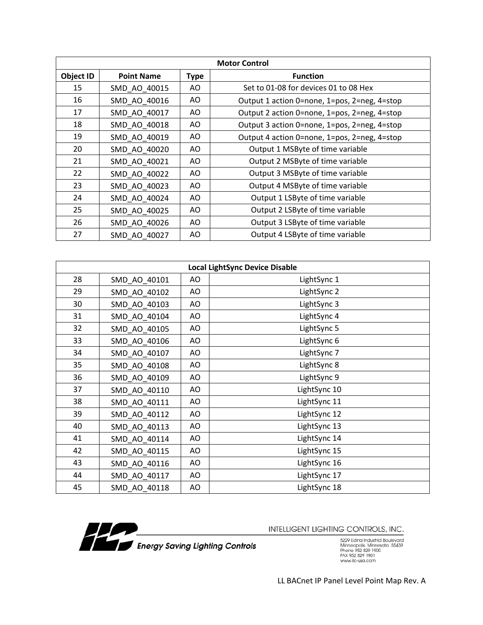|                  | <b>Motor Control</b> |             |                                              |  |
|------------------|----------------------|-------------|----------------------------------------------|--|
| <b>Object ID</b> | <b>Point Name</b>    | <b>Type</b> | <b>Function</b>                              |  |
| 15               | SMD AO 40015         | AO.         | Set to 01-08 for devices 01 to 08 Hex        |  |
| 16               | SMD AO 40016         | AO.         | Output 1 action 0=none, 1=pos, 2=neg, 4=stop |  |
| 17               | SMD AO 40017         | AO.         | Output 2 action 0=none, 1=pos, 2=neg, 4=stop |  |
| 18               | SMD AO 40018         | AO          | Output 3 action 0=none, 1=pos, 2=neg, 4=stop |  |
| 19               | SMD AO 40019         | AO.         | Output 4 action 0=none, 1=pos, 2=neg, 4=stop |  |
| 20               | SMD AO 40020         | AO.         | Output 1 MSByte of time variable             |  |
| 21               | SMD AO 40021         | AO.         | Output 2 MSByte of time variable             |  |
| 22               | SMD AO 40022         | AO.         | Output 3 MSByte of time variable             |  |
| 23               | SMD AO 40023         | AO.         | Output 4 MSByte of time variable             |  |
| 24               | SMD AO 40024         | AO          | Output 1 LSByte of time variable             |  |
| 25               | SMD AO 40025         | AO.         | Output 2 LSByte of time variable             |  |
| 26               | SMD AO 40026         | AO.         | Output 3 LSByte of time variable             |  |
| 27               | SMD AO 40027         | AO.         | Output 4 LSByte of time variable             |  |

| <b>Local LightSync Device Disable</b> |              |    |              |  |  |
|---------------------------------------|--------------|----|--------------|--|--|
| 28                                    | SMD AO 40101 | AO | LightSync 1  |  |  |
| 29                                    | SMD_AO_40102 | AO | LightSync 2  |  |  |
| 30                                    | SMD AO 40103 | AO | LightSync 3  |  |  |
| 31                                    | SMD AO 40104 | AO | LightSync 4  |  |  |
| 32                                    | SMD AO 40105 | AO | LightSync 5  |  |  |
| 33                                    | SMD AO 40106 | AO | LightSync 6  |  |  |
| 34                                    | SMD_AO_40107 | AO | LightSync 7  |  |  |
| 35                                    | SMD_AO_40108 | AO | LightSync 8  |  |  |
| 36                                    | SMD AO 40109 | AO | LightSync 9  |  |  |
| 37                                    | SMD_AO_40110 | AO | LightSync 10 |  |  |
| 38                                    | SMD_AO_40111 | AO | LightSync 11 |  |  |
| 39                                    | SMD_AO_40112 | AO | LightSync 12 |  |  |
| 40                                    | SMD_AO_40113 | AO | LightSync 13 |  |  |
| 41                                    | SMD_AO_40114 | AO | LightSync 14 |  |  |
| 42                                    | SMD_AO_40115 | AO | LightSync 15 |  |  |
| 43                                    | SMD_AO_40116 | AO | LightSync 16 |  |  |
| 44                                    | SMD_AO_40117 | AO | LightSync 17 |  |  |
| 45                                    | SMD AO 40118 | AO | LightSync 18 |  |  |



5229 Edina Industrial Boulevard<br>Minneapolis. Minnesota 55439<br>Phone 952 829 1900<br>FAX 952 829 1901<br>www.ilc-usa.com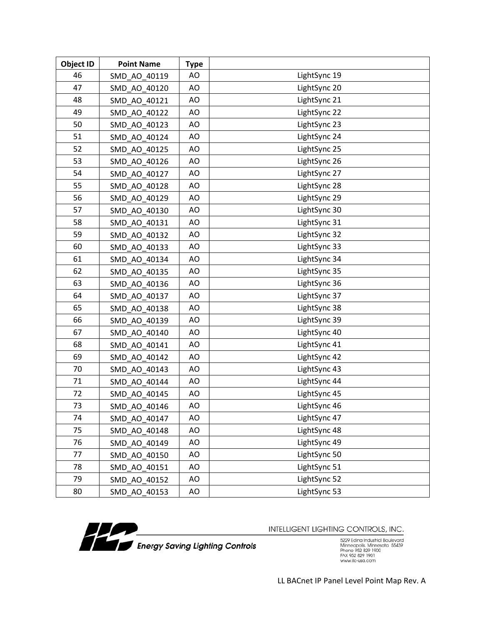| <b>Object ID</b> | <b>Point Name</b> | <b>Type</b> |              |
|------------------|-------------------|-------------|--------------|
| 46               | SMD AO 40119      | AO          | LightSync 19 |
| 47               | SMD AO 40120      | AO          | LightSync 20 |
| 48               | SMD_AO_40121      | AO          | LightSync 21 |
| 49               | SMD AO 40122      | AO          | LightSync 22 |
| 50               | SMD AO 40123      | AO          | LightSync 23 |
| 51               | SMD_AO_40124      | AO          | LightSync 24 |
| 52               | SMD AO 40125      | AO          | LightSync 25 |
| 53               | SMD AO 40126      | AO          | LightSync 26 |
| 54               | SMD_AO_40127      | AO          | LightSync 27 |
| 55               | SMD AO 40128      | AO          | LightSync 28 |
| 56               | SMD AO 40129      | AO          | LightSync 29 |
| 57               | SMD AO 40130      | AO          | LightSync 30 |
| 58               | SMD AO 40131      | AO          | LightSync 31 |
| 59               | SMD AO 40132      | AO          | LightSync 32 |
| 60               | SMD_AO_40133      | AO          | LightSync 33 |
| 61               | SMD AO 40134      | AO          | LightSync 34 |
| 62               | SMD_AO_40135      | AO          | LightSync 35 |
| 63               | SMD AO 40136      | AO          | LightSync 36 |
| 64               | SMD AO 40137      | AO          | LightSync 37 |
| 65               | SMD AO 40138      | AO          | LightSync 38 |
| 66               | SMD_AO_40139      | AO          | LightSync 39 |
| 67               | SMD AO 40140      | AO          | LightSync 40 |
| 68               | SMD AO 40141      | AO          | LightSync 41 |
| 69               | SMD AO 40142      | AO          | LightSync 42 |
| 70               | SMD AO 40143      | AO          | LightSync 43 |
| 71               | SMD AO 40144      | AO          | LightSync 44 |
| 72               | SMD_AO_40145      | AO          | LightSync 45 |
| 73               | SMD_AO_40146      | AO          | LightSync 46 |
| 74               | SMD AO 40147      | AO          | LightSync 47 |
| 75               | SMD AO 40148      | AO          | LightSync 48 |
| 76               | SMD AO 40149      | AO          | LightSync 49 |
| 77               | SMD AO 40150      | AO          | LightSync 50 |
| 78               | SMD AO 40151      | AO          | LightSync 51 |
| 79               | SMD_AO_40152      | AO          | LightSync 52 |
| 80               | SMD_AO_40153      | AO          | LightSync 53 |



5229 Edina Industrial Boulevard<br>Minneapolis. Minnesota 55439<br>Phone 952 829 1900<br>FAX 952 829 1901<br>www.ilc-usa.com